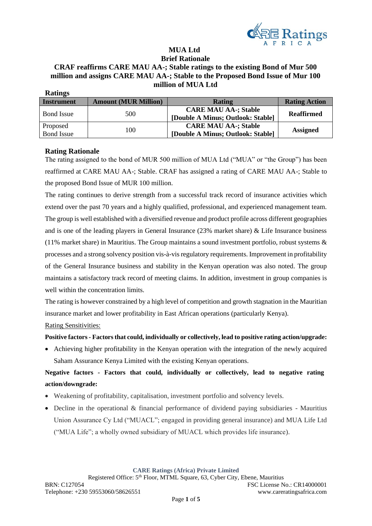

#### **MUA Ltd Brief Rationale**

# **CRAF reaffirms CARE MAU AA-; Stable ratings to the existing Bond of Mur 500 million and assigns CARE MAU AA-; Stable to the Proposed Bond Issue of Mur 100 million of MUA Ltd**

| <b>Ratings</b>    |                             |                                   |                      |  |  |
|-------------------|-----------------------------|-----------------------------------|----------------------|--|--|
| <b>Instrument</b> | <b>Amount (MUR Million)</b> | <b>Rating</b>                     | <b>Rating Action</b> |  |  |
| <b>Bond Issue</b> | 500                         | <b>CARE MAU AA-; Stable</b>       | <b>Reaffirmed</b>    |  |  |
|                   |                             | [Double A Minus; Outlook: Stable] |                      |  |  |
| Proposed          |                             | <b>CARE MAU AA-; Stable</b>       |                      |  |  |
| <b>Bond Issue</b> | 100                         | [Double A Minus; Outlook: Stable] | <b>Assigned</b>      |  |  |

## **Rating Rationale**

The rating assigned to the bond of MUR 500 million of MUA Ltd ("MUA" or "the Group") has been reaffirmed at CARE MAU AA-; Stable. CRAF has assigned a rating of CARE MAU AA-; Stable to the proposed Bond Issue of MUR 100 million.

The rating continues to derive strength from a successful track record of insurance activities which extend over the past 70 years and a highly qualified, professional, and experienced management team. The group is well established with a diversified revenue and product profile across different geographies and is one of the leading players in General Insurance (23% market share) & Life Insurance business (11% market share) in Mauritius. The Group maintains a sound investment portfolio, robust systems & processes and a strong solvency position vis-à-vis regulatory requirements. Improvement in profitability of the General Insurance business and stability in the Kenyan operation was also noted. The group maintains a satisfactory track record of meeting claims. In addition, investment in group companies is well within the concentration limits.

The rating is however constrained by a high level of competition and growth stagnation in the Mauritian insurance market and lower profitability in East African operations (particularly Kenya).

Rating Sensitivities:

#### **Positive factors- Factors that could, individually or collectively, lead to positive rating action/upgrade:**

• Achieving higher profitability in the Kenyan operation with the integration of the newly acquired Saham Assurance Kenya Limited with the existing Kenyan operations.

**Negative factors - Factors that could, individually or collectively, lead to negative rating action/downgrade:**

- Weakening of profitability, capitalisation, investment portfolio and solvency levels.
- Decline in the operational & financial performance of dividend paying subsidiaries Mauritius Union Assurance Cy Ltd ("MUACL"; engaged in providing general insurance) and MUA Life Ltd ("MUA Life"; a wholly owned subsidiary of MUACL which provides life insurance).

**CARE Ratings (Africa) Private Limited**

Registered Office: 5th Floor, MTML Square, 63, Cyber City, Ebene, Mauritius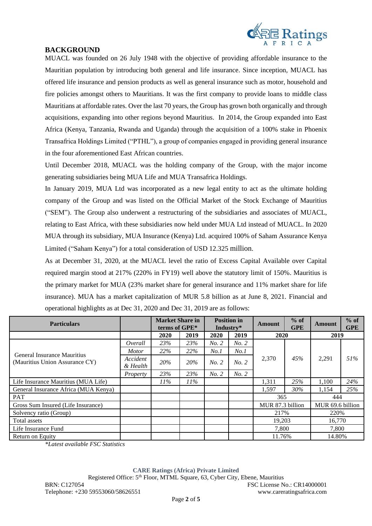

## **BACKGROUND**

MUACL was founded on 26 July 1948 with the objective of providing affordable insurance to the Mauritian population by introducing both general and life insurance. Since inception, MUACL has offered life insurance and pension products as well as general insurance such as motor, household and fire policies amongst others to Mauritians. It was the first company to provide loans to middle class Mauritians at affordable rates. Over the last 70 years, the Group has grown both organically and through acquisitions, expanding into other regions beyond Mauritius. In 2014, the Group expanded into East Africa (Kenya, Tanzania, Rwanda and Uganda) through the acquisition of a 100% stake in Phoenix Transafrica Holdings Limited ("PTHL"), a group of companies engaged in providing general insurance in the four aforementioned East African countries.

Until December 2018, MUACL was the holding company of the Group, with the major income generating subsidiaries being MUA Life and MUA Transafrica Holdings.

In January 2019, MUA Ltd was incorporated as a new legal entity to act as the ultimate holding company of the Group and was listed on the Official Market of the Stock Exchange of Mauritius ("SEM"). The Group also underwent a restructuring of the subsidiaries and associates of MUACL, relating to East Africa, with these subsidiaries now held under MUA Ltd instead of MUACL. In 2020 MUA through its subsidiary, MUA Insurance (Kenya) Ltd. acquired 100% of Saham Assurance Kenya Limited ("Saham Kenya") for a total consideration of USD 12.325 million.

As at December 31, 2020, at the MUACL level the ratio of Excess Capital Available over Capital required margin stood at 217% (220% in FY19) well above the statutory limit of 150%. Mauritius is the primary market for MUA (23% market share for general insurance and 11% market share for life insurance). MUA has a market capitalization of MUR 5.8 billion as at June 8, 2021. Financial and operational highlights as at Dec 31, 2020 and Dec 31, 2019 are as follows:

| <b>Particulars</b>                                            |                      | <b>Market Share in</b><br>terms of GPE* |        |       | <b>Position in</b><br>Industry* | Amount           | $%$ of<br><b>GPE</b> | Amount           | $%$ of<br><b>GPE</b> |
|---------------------------------------------------------------|----------------------|-----------------------------------------|--------|-------|---------------------------------|------------------|----------------------|------------------|----------------------|
|                                                               |                      | 2020                                    | 2019   | 2020  | 2019                            | 2020             |                      | 2019             |                      |
|                                                               | Overall              | 23%                                     | 23%    | No. 2 | No. 2                           | 2,370            | 45%                  | 2.291            |                      |
|                                                               | <i>Motor</i>         | 22%                                     | 22%    | No.1  | No.1                            |                  |                      |                  | 51%                  |
| General Insurance Mauritius<br>(Mauritius Union Assurance CY) | Accident<br>& Health | 20%                                     | 20%    | No. 2 | No. 2                           |                  |                      |                  |                      |
|                                                               | Property             | 23%                                     | 23%    | No. 2 | No. 2                           |                  |                      |                  |                      |
| Life Insurance Mauritius (MUA Life)                           |                      | $11\%$                                  | $11\%$ |       |                                 | 1,311            | 25%                  | 1,100            | 24%                  |
| General Insurance Africa (MUA Kenya)                          |                      |                                         |        |       |                                 | 1,597            | 30%                  | 1,154            | 25%                  |
| PAT                                                           |                      |                                         |        |       |                                 | 365              |                      | 444              |                      |
| Gross Sum Insured (Life Insurance)                            |                      |                                         |        |       |                                 | MUR 87.3 billion |                      | MUR 69.6 billion |                      |
| Solvency ratio (Group)                                        |                      |                                         |        |       |                                 | 217%             |                      | 220\%            |                      |
| Total assets                                                  |                      |                                         |        |       |                                 | 19,203           |                      | 16,770           |                      |
| Life Insurance Fund                                           |                      |                                         |        |       |                                 | 7.800            |                      | 7.800            |                      |
| Return on Equity                                              |                      |                                         |        |       |                                 | 11.76%           |                      | 14.80%           |                      |

*\*Latest available FSC Statistics*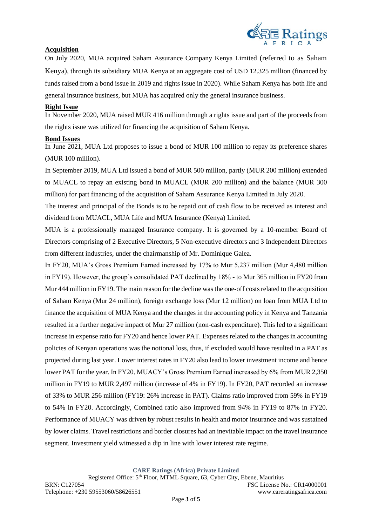

## **Acquisition**

On July 2020, MUA acquired Saham Assurance Company Kenya Limited (referred to as Saham Kenya), through its subsidiary MUA Kenya at an aggregate cost of USD 12.325 million (financed by funds raised from a bond issue in 2019 and rights issue in 2020). While Saham Kenya has both life and general insurance business, but MUA has acquired only the general insurance business.

#### **Right Issue**

In November 2020, MUA raised MUR 416 million through a rights issue and part of the proceeds from the rights issue was utilized for financing the acquisition of Saham Kenya.

## **Bond Issues**

In June 2021, MUA Ltd proposes to issue a bond of MUR 100 million to repay its preference shares (MUR 100 million).

In September 2019, MUA Ltd issued a bond of MUR 500 million, partly (MUR 200 million) extended to MUACL to repay an existing bond in MUACL (MUR 200 million) and the balance (MUR 300 million) for part financing of the acquisition of Saham Assurance Kenya Limited in July 2020.

The interest and principal of the Bonds is to be repaid out of cash flow to be received as interest and dividend from MUACL, MUA Life and MUA Insurance (Kenya) Limited.

MUA is a professionally managed Insurance company. It is governed by a 10-member Board of Directors comprising of 2 Executive Directors, 5 Non-executive directors and 3 Independent Directors from different industries, under the chairmanship of Mr. Dominique Galea.

In FY20, MUA's Gross Premium Earned increased by 17% to Mur 5,237 million (Mur 4,480 million in FY19). However, the group's consolidated PAT declined by 18% - to Mur 365 million in FY20 from Mur 444 million in FY19. The main reason for the decline was the one-off costs related to the acquisition of Saham Kenya (Mur 24 million), foreign exchange loss (Mur 12 million) on loan from MUA Ltd to finance the acquisition of MUA Kenya and the changes in the accounting policy in Kenya and Tanzania resulted in a further negative impact of Mur 27 million (non-cash expenditure). This led to a significant increase in expense ratio for FY20 and hence lower PAT. Expenses related to the changes in accounting policies of Kenyan operations was the notional loss, thus, if excluded would have resulted in a PAT as projected during last year. Lower interest rates in FY20 also lead to lower investment income and hence lower PAT for the year. In FY20, MUACY's Gross Premium Earned increased by 6% from MUR 2,350 million in FY19 to MUR 2,497 million (increase of 4% in FY19). In FY20, PAT recorded an increase of 33% to MUR 256 million (FY19: 26% increase in PAT). Claims ratio improved from 59% in FY19 to 54% in FY20. Accordingly, Combined ratio also improved from 94% in FY19 to 87% in FY20. Performance of MUACY was driven by robust results in health and motor insurance and was sustained by lower claims. Travel restrictions and border closures had an inevitable impact on the travel insurance segment. Investment yield witnessed a dip in line with lower interest rate regime.

**CARE Ratings (Africa) Private Limited**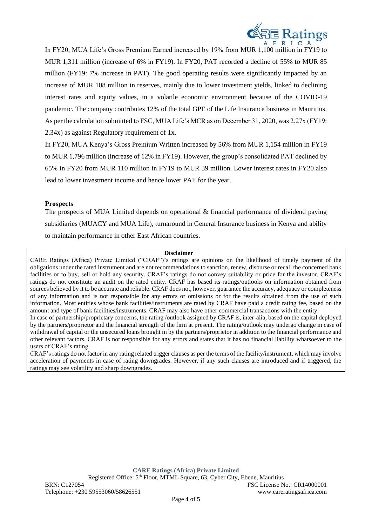

In FY20, MUA Life's Gross Premium Earned increased by 19% from MUR 1,100 million in FY19 to MUR 1,311 million (increase of 6% in FY19). In FY20, PAT recorded a decline of 55% to MUR 85 million (FY19: 7% increase in PAT). The good operating results were significantly impacted by an increase of MUR 108 million in reserves, mainly due to lower investment yields, linked to declining interest rates and equity values, in a volatile economic environment because of the COVID-19 pandemic. The company contributes 12% of the total GPE of the Life Insurance business in Mauritius. As per the calculation submitted to FSC, MUA Life's MCR as on December 31, 2020, was 2.27x (FY19: 2.34x) as against Regulatory requirement of 1x.

In FY20, MUA Kenya's Gross Premium Written increased by 56% from MUR 1,154 million in FY19 to MUR 1,796 million (increase of 12% in FY19). However, the group's consolidated PAT declined by 65% in FY20 from MUR 110 million in FY19 to MUR 39 million. Lower interest rates in FY20 also lead to lower investment income and hence lower PAT for the year.

#### **Prospects**

The prospects of MUA Limited depends on operational & financial performance of dividend paying subsidiaries (MUACY and MUA Life), turnaround in General Insurance business in Kenya and ability to maintain performance in other East African countries.

#### **Disclaimer**

CARE Ratings (Africa) Private Limited ("CRAF")'s ratings are opinions on the likelihood of timely payment of the obligations under the rated instrument and are not recommendations to sanction, renew, disburse or recall the concerned bank facilities or to buy, sell or hold any security. CRAF's ratings do not convey suitability or price for the investor. CRAF's ratings do not constitute an audit on the rated entity. CRAF has based its ratings/outlooks on information obtained from sources believed by it to be accurate and reliable. CRAF does not, however, guarantee the accuracy, adequacy or completeness of any information and is not responsible for any errors or omissions or for the results obtained from the use of such information. Most entities whose bank facilities/instruments are rated by CRAF have paid a credit rating fee, based on the amount and type of bank facilities/instruments. CRAF may also have other commercial transactions with the entity.

In case of partnership/proprietary concerns, the rating /outlook assigned by CRAF is, inter-alia, based on the capital deployed by the partners/proprietor and the financial strength of the firm at present. The rating/outlook may undergo change in case of withdrawal of capital or the unsecured loans brought in by the partners/proprietor in addition to the financial performance and other relevant factors. CRAF is not responsible for any errors and states that it has no financial liability whatsoever to the users of CRAF's rating.

CRAF's ratings do not factor in any rating related trigger clauses as per the terms of the facility/instrument, which may involve acceleration of payments in case of rating downgrades. However, if any such clauses are introduced and if triggered, the ratings may see volatility and sharp downgrades.